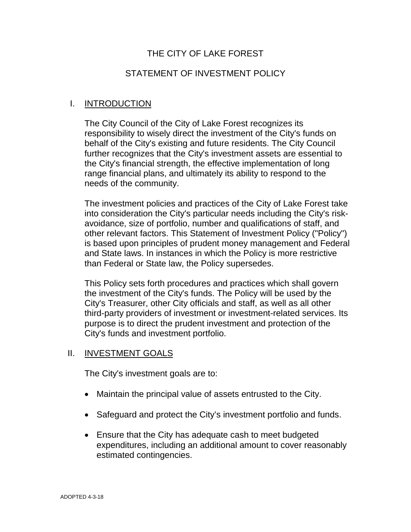## THE CITY OF LAKE FOREST

### STATEMENT OF INVESTMENT POLICY

### I. INTRODUCTION

The City Council of the City of Lake Forest recognizes its responsibility to wisely direct the investment of the City's funds on behalf of the City's existing and future residents. The City Council further recognizes that the City's investment assets are essential to the City's financial strength, the effective implementation of long range financial plans, and ultimately its ability to respond to the needs of the community.

The investment policies and practices of the City of Lake Forest take into consideration the City's particular needs including the City's riskavoidance, size of portfolio, number and qualifications of staff, and other relevant factors. This Statement of Investment Policy ("Policy") is based upon principles of prudent money management and Federal and State laws. In instances in which the Policy is more restrictive than Federal or State law, the Policy supersedes.

This Policy sets forth procedures and practices which shall govern the investment of the City's funds. The Policy will be used by the City's Treasurer, other City officials and staff, as well as all other third-party providers of investment or investment-related services. Its purpose is to direct the prudent investment and protection of the City's funds and investment portfolio.

#### II. INVESTMENT GOALS

The City's investment goals are to:

- Maintain the principal value of assets entrusted to the City.
- Safeguard and protect the City's investment portfolio and funds.
- Ensure that the City has adequate cash to meet budgeted expenditures, including an additional amount to cover reasonably estimated contingencies.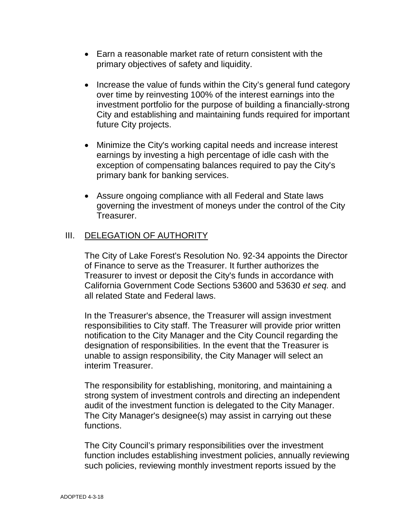- Earn a reasonable market rate of return consistent with the primary objectives of safety and liquidity.
- Increase the value of funds within the City's general fund category over time by reinvesting 100% of the interest earnings into the investment portfolio for the purpose of building a financially-strong City and establishing and maintaining funds required for important future City projects.
- Minimize the City's working capital needs and increase interest earnings by investing a high percentage of idle cash with the exception of compensating balances required to pay the City's primary bank for banking services.
- Assure ongoing compliance with all Federal and State laws governing the investment of moneys under the control of the City Treasurer.

## **III.** DELEGATION OF AUTHORITY

The City of Lake Forest's Resolution No. 92-34 appoints the Director of Finance to serve as the Treasurer. It further authorizes the Treasurer to invest or deposit the City's funds in accordance with California Government Code Sections 53600 and 53630 *et seq.* and all related State and Federal laws.

In the Treasurer's absence, the Treasurer will assign investment responsibilities to City staff. The Treasurer will provide prior written notification to the City Manager and the City Council regarding the designation of responsibilities. In the event that the Treasurer is unable to assign responsibility, the City Manager will select an interim Treasurer.

The responsibility for establishing, monitoring, and maintaining a strong system of investment controls and directing an independent audit of the investment function is delegated to the City Manager. The City Manager's designee(s) may assist in carrying out these functions.

The City Council's primary responsibilities over the investment function includes establishing investment policies, annually reviewing such policies, reviewing monthly investment reports issued by the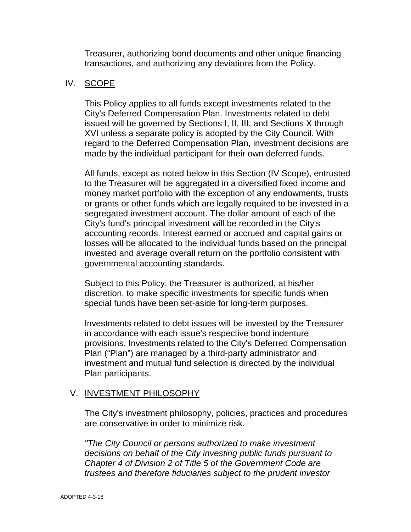Treasurer, authorizing bond documents and other unique financing transactions, and authorizing any deviations from the Policy.

## IV. SCOPE

This Policy applies to all funds except investments related to the City's Deferred Compensation Plan. Investments related to debt issued will be governed by Sections I, II, III, and Sections X through XVI unless a separate policy is adopted by the City Council. With regard to the Deferred Compensation Plan, investment decisions are made by the individual participant for their own deferred funds.

All funds, except as noted below in this Section (IV Scope), entrusted to the Treasurer will be aggregated in a diversified fixed income and money market portfolio with the exception of any endowments, trusts or grants or other funds which are legally required to be invested in a segregated investment account. The dollar amount of each of the City's fund's principal investment will be recorded in the City's accounting records. Interest earned or accrued and capital gains or losses will be allocated to the individual funds based on the principal invested and average overall return on the portfolio consistent with governmental accounting standards.

Subject to this Policy, the Treasurer is authorized, at his/her discretion, to make specific investments for specific funds when special funds have been set-aside for long-term purposes.

Investments related to debt issues will be invested by the Treasurer in accordance with each issue's respective bond indenture provisions. Investments related to the City's Deferred Compensation Plan ("Plan") are managed by a third-party administrator and investment and mutual fund selection is directed by the individual Plan participants.

## V. INVESTMENT PHILOSOPHY

The City's investment philosophy, policies, practices and procedures are conservative in order to minimize risk.

*"The City Council or persons authorized to make investment decisions on behalf of the City investing public funds pursuant to Chapter 4 of Division 2 of Title 5 of the Government Code are trustees and therefore fiduciaries subject to the prudent investor*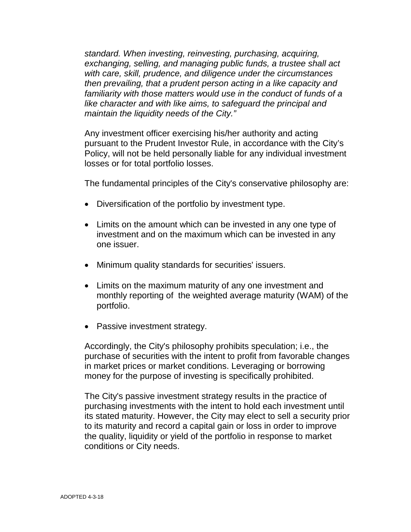*standard. When investing, reinvesting, purchasing, acquiring, exchanging, selling, and managing public funds, a trustee shall act with care, skill, prudence, and diligence under the circumstances then prevailing, that a prudent person acting in a like capacity and familiarity with those matters would use in the conduct of funds of a like character and with like aims, to safeguard the principal and maintain the liquidity needs of the City."*

Any investment officer exercising his/her authority and acting pursuant to the Prudent Investor Rule, in accordance with the City's Policy, will not be held personally liable for any individual investment losses or for total portfolio losses.

The fundamental principles of the City's conservative philosophy are:

- Diversification of the portfolio by investment type.
- Limits on the amount which can be invested in any one type of investment and on the maximum which can be invested in any one issuer.
- Minimum quality standards for securities' issuers.
- Limits on the maximum maturity of any one investment and monthly reporting of the weighted average maturity (WAM) of the portfolio.
- Passive investment strategy.

Accordingly, the City's philosophy prohibits speculation; i.e., the purchase of securities with the intent to profit from favorable changes in market prices or market conditions. Leveraging or borrowing money for the purpose of investing is specifically prohibited.

The City's passive investment strategy results in the practice of purchasing investments with the intent to hold each investment until its stated maturity. However, the City may elect to sell a security prior to its maturity and record a capital gain or loss in order to improve the quality, liquidity or yield of the portfolio in response to market conditions or City needs.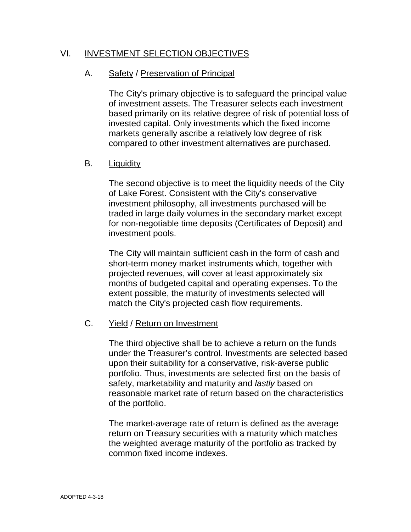## VI. INVESTMENT SELECTION OBJECTIVES

### A. Safety / Preservation of Principal

The City's primary objective is to safeguard the principal value of investment assets. The Treasurer selects each investment based primarily on its relative degree of risk of potential loss of invested capital. Only investments which the fixed income markets generally ascribe a relatively low degree of risk compared to other investment alternatives are purchased.

#### B. Liquidity

The second objective is to meet the liquidity needs of the City of Lake Forest. Consistent with the City's conservative investment philosophy, all investments purchased will be traded in large daily volumes in the secondary market except for non-negotiable time deposits (Certificates of Deposit) and investment pools.

The City will maintain sufficient cash in the form of cash and short-term money market instruments which, together with projected revenues, will cover at least approximately six months of budgeted capital and operating expenses. To the extent possible, the maturity of investments selected will match the City's projected cash flow requirements.

### C. Yield / Return on Investment

The third objective shall be to achieve a return on the funds under the Treasurer's control. Investments are selected based upon their suitability for a conservative, risk-averse public portfolio. Thus, investments are selected first on the basis of safety, marketability and maturity and *lastly* based on reasonable market rate of return based on the characteristics of the portfolio.

The market-average rate of return is defined as the average return on Treasury securities with a maturity which matches the weighted average maturity of the portfolio as tracked by common fixed income indexes.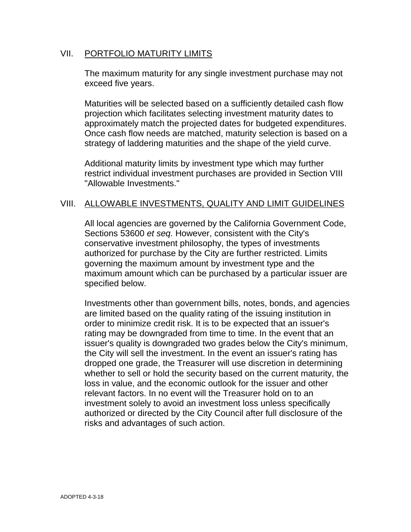### VII. PORTFOLIO MATURITY LIMITS

The maximum maturity for any single investment purchase may not exceed five years.

Maturities will be selected based on a sufficiently detailed cash flow projection which facilitates selecting investment maturity dates to approximately match the projected dates for budgeted expenditures. Once cash flow needs are matched, maturity selection is based on a strategy of laddering maturities and the shape of the yield curve.

Additional maturity limits by investment type which may further restrict individual investment purchases are provided in Section VIII "Allowable Investments."

### VIII. ALLOWABLE INVESTMENTS, QUALITY AND LIMIT GUIDELINES

All local agencies are governed by the California Government Code, Sections 53600 *et seq.* However, consistent with the City's conservative investment philosophy, the types of investments authorized for purchase by the City are further restricted. Limits governing the maximum amount by investment type and the maximum amount which can be purchased by a particular issuer are specified below.

Investments other than government bills, notes, bonds, and agencies are limited based on the quality rating of the issuing institution in order to minimize credit risk. It is to be expected that an issuer's rating may be downgraded from time to time. In the event that an issuer's quality is downgraded two grades below the City's minimum, the City will sell the investment. In the event an issuer's rating has dropped one grade, the Treasurer will use discretion in determining whether to sell or hold the security based on the current maturity, the loss in value, and the economic outlook for the issuer and other relevant factors. In no event will the Treasurer hold on to an investment solely to avoid an investment loss unless specifically authorized or directed by the City Council after full disclosure of the risks and advantages of such action.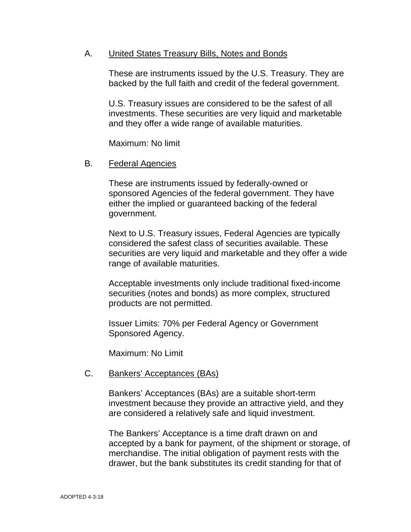### A. United States Treasury Bills, Notes and Bonds

These are instruments issued by the U.S. Treasury. They are backed by the full faith and credit of the federal government.

U.S. Treasury issues are considered to be the safest of all investments. These securities are very liquid and marketable and they offer a wide range of available maturities.

Maximum: No limit

#### B. Federal Agencies

These are instruments issued by federally-owned or sponsored Agencies of the federal government. They have either the implied or guaranteed backing of the federal government.

Next to U.S. Treasury issues, Federal Agencies are typically considered the safest class of securities available. These securities are very liquid and marketable and they offer a wide range of available maturities.

Acceptable investments only include traditional fixed-income securities (notes and bonds) as more complex, structured products are not permitted.

Issuer Limits: 70% per Federal Agency or Government Sponsored Agency.

Maximum: No Limit

#### C. Bankers' Acceptances (BAs)

Bankers' Acceptances (BAs) are a suitable short-term investment because they provide an attractive yield, and they are considered a relatively safe and liquid investment.

The Bankers' Acceptance is a time draft drawn on and accepted by a bank for payment, of the shipment or storage, of merchandise. The initial obligation of payment rests with the drawer, but the bank substitutes its credit standing for that of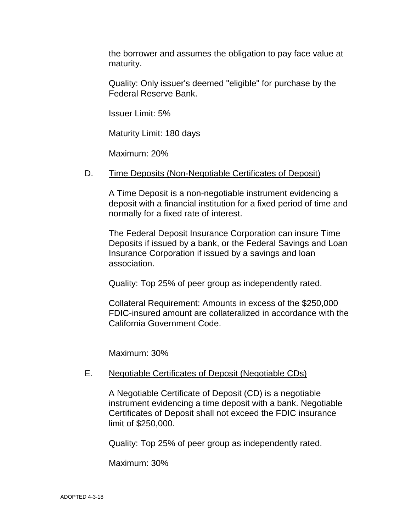the borrower and assumes the obligation to pay face value at maturity.

Quality: Only issuer's deemed "eligible" for purchase by the Federal Reserve Bank.

Issuer Limit: 5%

Maturity Limit: 180 days

Maximum: 20%

### D. Time Deposits (Non-Negotiable Certificates of Deposit)

A Time Deposit is a non-negotiable instrument evidencing a deposit with a financial institution for a fixed period of time and normally for a fixed rate of interest.

The Federal Deposit Insurance Corporation can insure Time Deposits if issued by a bank, or the Federal Savings and Loan Insurance Corporation if issued by a savings and loan association.

Quality: Top 25% of peer group as independently rated.

Collateral Requirement: Amounts in excess of the \$250,000 FDIC-insured amount are collateralized in accordance with the California Government Code.

Maximum: 30%

#### E. Negotiable Certificates of Deposit (Negotiable CDs)

A Negotiable Certificate of Deposit (CD) is a negotiable instrument evidencing a time deposit with a bank. Negotiable Certificates of Deposit shall not exceed the FDIC insurance limit of \$250,000.

Quality: Top 25% of peer group as independently rated.

Maximum: 30%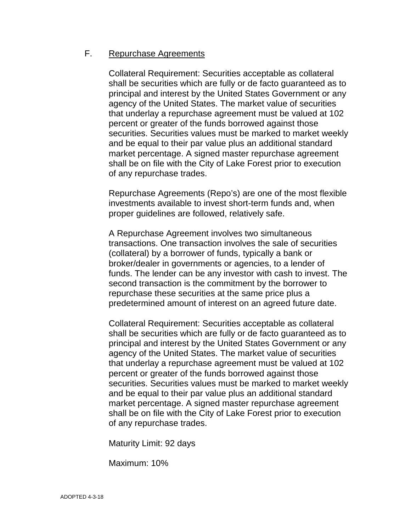### F. Repurchase Agreements

Collateral Requirement: Securities acceptable as collateral shall be securities which are fully or de facto guaranteed as to principal and interest by the United States Government or any agency of the United States. The market value of securities that underlay a repurchase agreement must be valued at 102 percent or greater of the funds borrowed against those securities. Securities values must be marked to market weekly and be equal to their par value plus an additional standard market percentage. A signed master repurchase agreement shall be on file with the City of Lake Forest prior to execution of any repurchase trades.

Repurchase Agreements (Repo's) are one of the most flexible investments available to invest short-term funds and, when proper guidelines are followed, relatively safe.

A Repurchase Agreement involves two simultaneous transactions. One transaction involves the sale of securities (collateral) by a borrower of funds, typically a bank or broker/dealer in governments or agencies, to a lender of funds. The lender can be any investor with cash to invest. The second transaction is the commitment by the borrower to repurchase these securities at the same price plus a predetermined amount of interest on an agreed future date.

Collateral Requirement: Securities acceptable as collateral shall be securities which are fully or de facto guaranteed as to principal and interest by the United States Government or any agency of the United States. The market value of securities that underlay a repurchase agreement must be valued at 102 percent or greater of the funds borrowed against those securities. Securities values must be marked to market weekly and be equal to their par value plus an additional standard market percentage. A signed master repurchase agreement shall be on file with the City of Lake Forest prior to execution of any repurchase trades.

Maturity Limit: 92 days

Maximum: 10%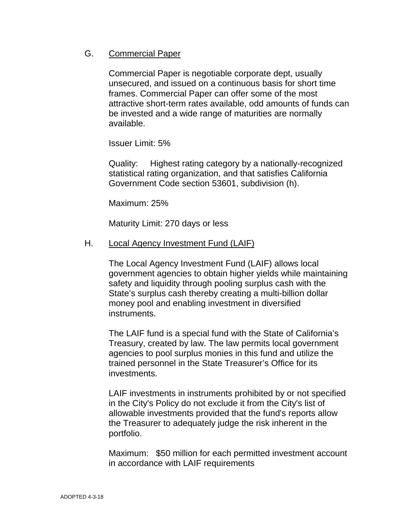### G. Commercial Paper

Commercial Paper is negotiable corporate dept, usually unsecured, and issued on a continuous basis for short time frames. Commercial Paper can offer some of the most attractive short-term rates available, odd amounts of funds can be invested and a wide range of maturities are normally available.

Issuer Limit: 5%

Quality: Highest rating category by a nationally-recognized statistical rating organization, and that satisfies California Government Code section 53601, subdivision (h).

Maximum: 25%

Maturity Limit: 270 days or less

### H. Local Agency Investment Fund (LAIF)

The Local Agency Investment Fund (LAIF) allows local government agencies to obtain higher yields while maintaining safety and liquidity through pooling surplus cash with the State's surplus cash thereby creating a multi-billion dollar money pool and enabling investment in diversified instruments.

The LAIF fund is a special fund with the State of California's Treasury, created by law. The law permits local government agencies to pool surplus monies in this fund and utilize the trained personnel in the State Treasurer's Office for its investments.

LAIF investments in instruments prohibited by or not specified in the City's Policy do not exclude it from the City's list of allowable investments provided that the fund's reports allow the Treasurer to adequately judge the risk inherent in the portfolio.

Maximum: \$50 million for each permitted investment account in accordance with LAIF requirements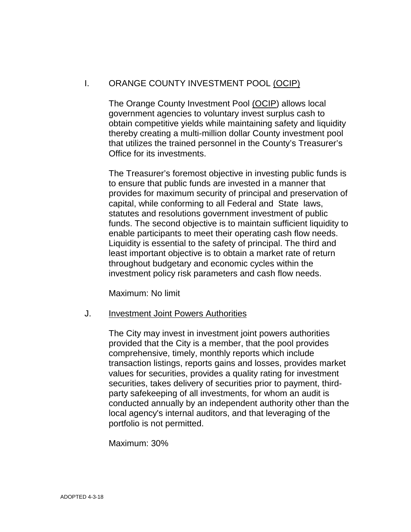## I. ORANGE COUNTY INVESTMENT POOL (OCIP)

The Orange County Investment Pool (OCIP) allows local government agencies to voluntary invest surplus cash to obtain competitive yields while maintaining safety and liquidity thereby creating a multi-million dollar County investment pool that utilizes the trained personnel in the County's Treasurer's Office for its investments.

The Treasurer's foremost objective in investing public funds is to ensure that public funds are invested in a manner that provides for maximum security of principal and preservation of capital, while conforming to all Federal and State laws, statutes and resolutions government investment of public funds. The second objective is to maintain sufficient liquidity to enable participants to meet their operating cash flow needs. Liquidity is essential to the safety of principal. The third and least important objective is to obtain a market rate of return throughout budgetary and economic cycles within the investment policy risk parameters and cash flow needs.

Maximum: No limit

#### J. **Investment Joint Powers Authorities**

The City may invest in investment joint powers authorities provided that the City is a member, that the pool provides comprehensive, timely, monthly reports which include transaction listings, reports gains and losses, provides market values for securities, provides a quality rating for investment securities, takes delivery of securities prior to payment, thirdparty safekeeping of all investments, for whom an audit is conducted annually by an independent authority other than the local agency's internal auditors, and that leveraging of the portfolio is not permitted.

Maximum: 30%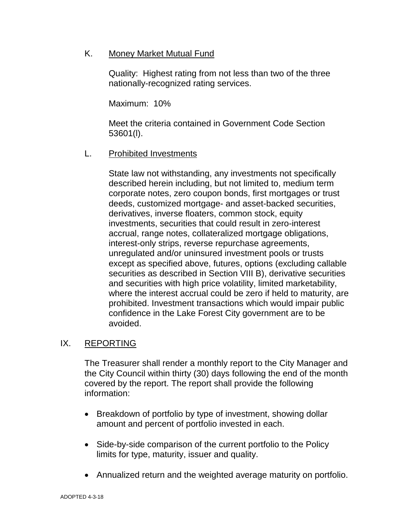K. Money Market Mutual Fund

Quality: Highest rating from not less than two of the three nationally-recognized rating services.

Maximum: 10%

Meet the criteria contained in Government Code Section 53601(l).

L. Prohibited Investments

State law not withstanding, any investments not specifically described herein including, but not limited to, medium term corporate notes, zero coupon bonds, first mortgages or trust deeds, customized mortgage- and asset-backed securities, derivatives, inverse floaters, common stock, equity investments, securities that could result in zero-interest accrual, range notes, collateralized mortgage obligations, interest-only strips, reverse repurchase agreements, unregulated and/or uninsured investment pools or trusts except as specified above, futures, options (excluding callable securities as described in Section VIII B), derivative securities and securities with high price volatility, limited marketability, where the interest accrual could be zero if held to maturity, are prohibited. Investment transactions which would impair public confidence in the Lake Forest City government are to be avoided.

## IX. REPORTING

The Treasurer shall render a monthly report to the City Manager and the City Council within thirty (30) days following the end of the month covered by the report. The report shall provide the following information:

- Breakdown of portfolio by type of investment, showing dollar amount and percent of portfolio invested in each.
- Side-by-side comparison of the current portfolio to the Policy limits for type, maturity, issuer and quality.
- Annualized return and the weighted average maturity on portfolio.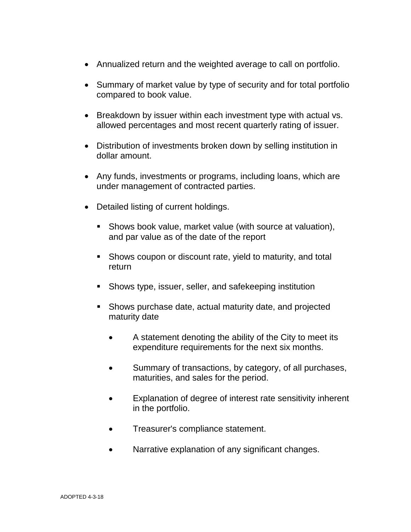- Annualized return and the weighted average to call on portfolio.
- Summary of market value by type of security and for total portfolio compared to book value.
- Breakdown by issuer within each investment type with actual vs. allowed percentages and most recent quarterly rating of issuer.
- Distribution of investments broken down by selling institution in dollar amount.
- Any funds, investments or programs, including loans, which are under management of contracted parties.
- Detailed listing of current holdings.
	- Shows book value, market value (with source at valuation), and par value as of the date of the report
	- Shows coupon or discount rate, yield to maturity, and total return
	- Shows type, issuer, seller, and safekeeping institution
	- Shows purchase date, actual maturity date, and projected maturity date
		- A statement denoting the ability of the City to meet its expenditure requirements for the next six months.
		- Summary of transactions, by category, of all purchases, maturities, and sales for the period.
		- Explanation of degree of interest rate sensitivity inherent in the portfolio.
		- Treasurer's compliance statement.
		- Narrative explanation of any significant changes.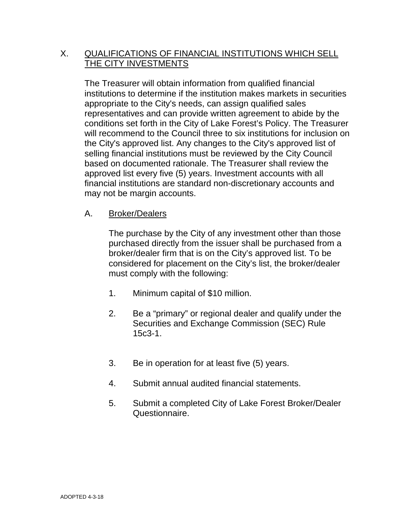## X. QUALIFICATIONS OF FINANCIAL INSTITUTIONS WHICH SELL THE CITY INVESTMENTS

The Treasurer will obtain information from qualified financial institutions to determine if the institution makes markets in securities appropriate to the City's needs, can assign qualified sales representatives and can provide written agreement to abide by the conditions set forth in the City of Lake Forest's Policy. The Treasurer will recommend to the Council three to six institutions for inclusion on the City's approved list. Any changes to the City's approved list of selling financial institutions must be reviewed by the City Council based on documented rationale. The Treasurer shall review the approved list every five (5) years. Investment accounts with all financial institutions are standard non-discretionary accounts and may not be margin accounts.

## A. Broker/Dealers

The purchase by the City of any investment other than those purchased directly from the issuer shall be purchased from a broker/dealer firm that is on the City's approved list. To be considered for placement on the City's list, the broker/dealer must comply with the following:

- 1. Minimum capital of \$10 million.
- 2. Be a "primary" or regional dealer and qualify under the Securities and Exchange Commission (SEC) Rule 15c3-1.
- 3. Be in operation for at least five (5) years.
- 4. Submit annual audited financial statements.
- 5. Submit a completed City of Lake Forest Broker/Dealer Questionnaire.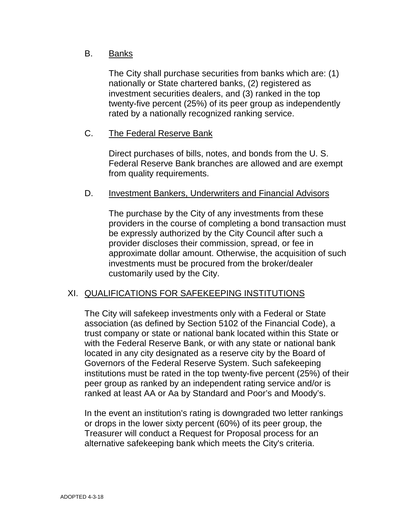## B. Banks

The City shall purchase securities from banks which are: (1) nationally or State chartered banks, (2) registered as investment securities dealers, and (3) ranked in the top twenty-five percent (25%) of its peer group as independently rated by a nationally recognized ranking service.

## C. The Federal Reserve Bank

Direct purchases of bills, notes, and bonds from the U. S. Federal Reserve Bank branches are allowed and are exempt from quality requirements.

### D. Investment Bankers, Underwriters and Financial Advisors

The purchase by the City of any investments from these providers in the course of completing a bond transaction must be expressly authorized by the City Council after such a provider discloses their commission, spread, or fee in approximate dollar amount. Otherwise, the acquisition of such investments must be procured from the broker/dealer customarily used by the City.

## XI. QUALIFICATIONS FOR SAFEKEEPING INSTITUTIONS

The City will safekeep investments only with a Federal or State association (as defined by Section 5102 of the Financial Code), a trust company or state or national bank located within this State or with the Federal Reserve Bank, or with any state or national bank located in any city designated as a reserve city by the Board of Governors of the Federal Reserve System. Such safekeeping institutions must be rated in the top twenty-five percent (25%) of their peer group as ranked by an independent rating service and/or is ranked at least AA or Aa by Standard and Poor's and Moody's.

In the event an institution's rating is downgraded two letter rankings or drops in the lower sixty percent (60%) of its peer group, the Treasurer will conduct a Request for Proposal process for an alternative safekeeping bank which meets the City's criteria.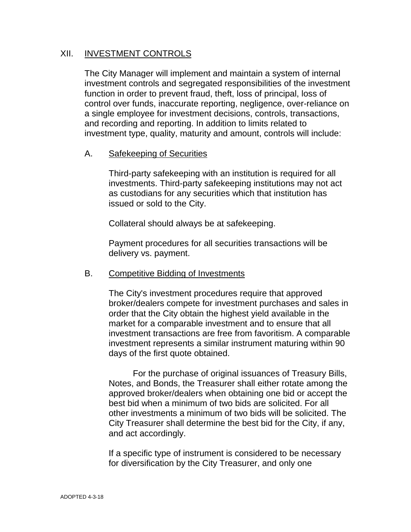## XII. INVESTMENT CONTROLS

The City Manager will implement and maintain a system of internal investment controls and segregated responsibilities of the investment function in order to prevent fraud, theft, loss of principal, loss of control over funds, inaccurate reporting, negligence, over-reliance on a single employee for investment decisions, controls, transactions, and recording and reporting. In addition to limits related to investment type, quality, maturity and amount, controls will include:

### A. Safekeeping of Securities

Third-party safekeeping with an institution is required for all investments. Third-party safekeeping institutions may not act as custodians for any securities which that institution has issued or sold to the City.

Collateral should always be at safekeeping.

Payment procedures for all securities transactions will be delivery vs. payment.

#### B. Competitive Bidding of Investments

The City's investment procedures require that approved broker/dealers compete for investment purchases and sales in order that the City obtain the highest yield available in the market for a comparable investment and to ensure that all investment transactions are free from favoritism. A comparable investment represents a similar instrument maturing within 90 days of the first quote obtained.

For the purchase of original issuances of Treasury Bills, Notes, and Bonds, the Treasurer shall either rotate among the approved broker/dealers when obtaining one bid or accept the best bid when a minimum of two bids are solicited. For all other investments a minimum of two bids will be solicited. The City Treasurer shall determine the best bid for the City, if any, and act accordingly.

If a specific type of instrument is considered to be necessary for diversification by the City Treasurer, and only one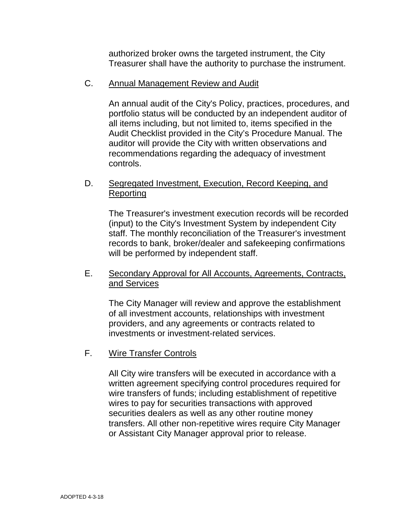authorized broker owns the targeted instrument, the City Treasurer shall have the authority to purchase the instrument.

## C. Annual Management Review and Audit

An annual audit of the City's Policy, practices, procedures, and portfolio status will be conducted by an independent auditor of all items including, but not limited to, items specified in the Audit Checklist provided in the City's Procedure Manual. The auditor will provide the City with written observations and recommendations regarding the adequacy of investment controls.

## D. Segregated Investment, Execution, Record Keeping, and **Reporting**

The Treasurer's investment execution records will be recorded (input) to the City's Investment System by independent City staff. The monthly reconciliation of the Treasurer's investment records to bank, broker/dealer and safekeeping confirmations will be performed by independent staff.

## E. Secondary Approval for All Accounts, Agreements, Contracts, and Services

The City Manager will review and approve the establishment of all investment accounts, relationships with investment providers, and any agreements or contracts related to investments or investment-related services.

## F. Wire Transfer Controls

All City wire transfers will be executed in accordance with a written agreement specifying control procedures required for wire transfers of funds; including establishment of repetitive wires to pay for securities transactions with approved securities dealers as well as any other routine money transfers. All other non-repetitive wires require City Manager or Assistant City Manager approval prior to release.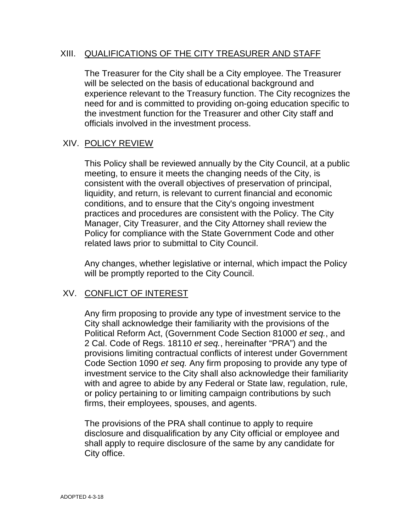## XIII. QUALIFICATIONS OF THE CITY TREASURER AND STAFF

The Treasurer for the City shall be a City employee. The Treasurer will be selected on the basis of educational background and experience relevant to the Treasury function. The City recognizes the need for and is committed to providing on-going education specific to the investment function for the Treasurer and other City staff and officials involved in the investment process.

## XIV. POLICY REVIEW

This Policy shall be reviewed annually by the City Council, at a public meeting, to ensure it meets the changing needs of the City, is consistent with the overall objectives of preservation of principal, liquidity, and return, is relevant to current financial and economic conditions, and to ensure that the City's ongoing investment practices and procedures are consistent with the Policy. The City Manager, City Treasurer, and the City Attorney shall review the Policy for compliance with the State Government Code and other related laws prior to submittal to City Council.

Any changes, whether legislative or internal, which impact the Policy will be promptly reported to the City Council.

## XV. CONFLICT OF INTEREST

Any firm proposing to provide any type of investment service to the City shall acknowledge their familiarity with the provisions of the Political Reform Act, (Government Code Section 81000 *et seq.*, and 2 Cal. Code of Regs. 18110 *et seq.*, hereinafter "PRA") and the provisions limiting contractual conflicts of interest under Government Code Section 1090 *et seq.* Any firm proposing to provide any type of investment service to the City shall also acknowledge their familiarity with and agree to abide by any Federal or State law, regulation, rule, or policy pertaining to or limiting campaign contributions by such firms, their employees, spouses, and agents.

The provisions of the PRA shall continue to apply to require disclosure and disqualification by any City official or employee and shall apply to require disclosure of the same by any candidate for City office.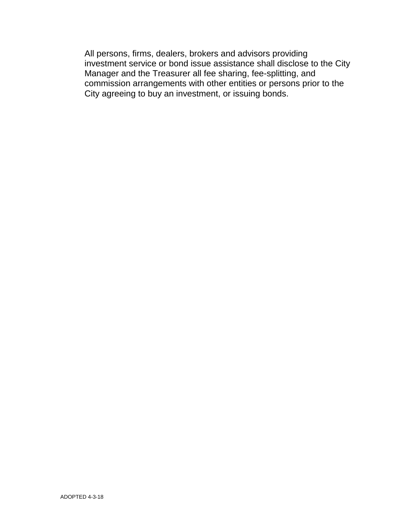All persons, firms, dealers, brokers and advisors providing investment service or bond issue assistance shall disclose to the City Manager and the Treasurer all fee sharing, fee-splitting, and commission arrangements with other entities or persons prior to the City agreeing to buy an investment, or issuing bonds.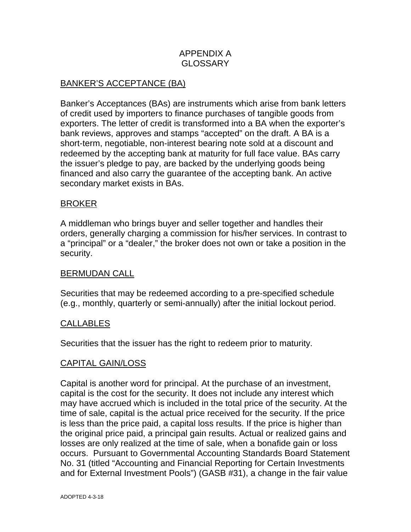## APPENDIX A GLOSSARY

## BANKER'S ACCEPTANCE (BA)

Banker's Acceptances (BAs) are instruments which arise from bank letters of credit used by importers to finance purchases of tangible goods from exporters. The letter of credit is transformed into a BA when the exporter's bank reviews, approves and stamps "accepted" on the draft. A BA is a short-term, negotiable, non-interest bearing note sold at a discount and redeemed by the accepting bank at maturity for full face value. BAs carry the issuer's pledge to pay, are backed by the underlying goods being financed and also carry the guarantee of the accepting bank. An active secondary market exists in BAs.

### BROKER

A middleman who brings buyer and seller together and handles their orders, generally charging a commission for his/her services. In contrast to a "principal" or a "dealer," the broker does not own or take a position in the security.

#### BERMUDAN CALL

Securities that may be redeemed according to a pre-specified schedule (e.g., monthly, quarterly or semi-annually) after the initial lockout period.

#### CALLABLES

Securities that the issuer has the right to redeem prior to maturity.

## CAPITAL GAIN/LOSS

Capital is another word for principal. At the purchase of an investment, capital is the cost for the security. It does not include any interest which may have accrued which is included in the total price of the security. At the time of sale, capital is the actual price received for the security. If the price is less than the price paid, a capital loss results. If the price is higher than the original price paid, a principal gain results. Actual or realized gains and losses are only realized at the time of sale, when a bonafide gain or loss occurs. Pursuant to Governmental Accounting Standards Board Statement No. 31 (titled "Accounting and Financial Reporting for Certain Investments and for External Investment Pools") (GASB #31), a change in the fair value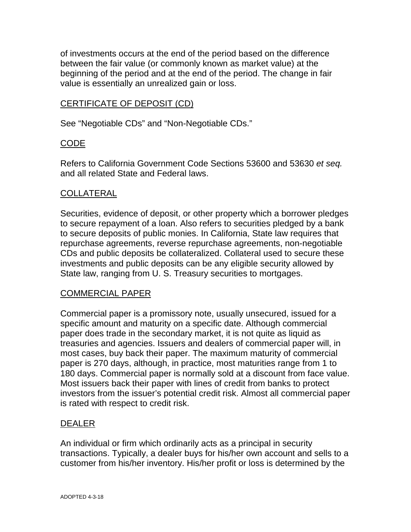of investments occurs at the end of the period based on the difference between the fair value (or commonly known as market value) at the beginning of the period and at the end of the period. The change in fair value is essentially an unrealized gain or loss.

## CERTIFICATE OF DEPOSIT (CD)

See "Negotiable CDs" and "Non-Negotiable CDs."

### CODE

Refers to California Government Code Sections 53600 and 53630 *et seq.* and all related State and Federal laws.

### COLLATERAL

Securities, evidence of deposit, or other property which a borrower pledges to secure repayment of a loan. Also refers to securities pledged by a bank to secure deposits of public monies. In California, State law requires that repurchase agreements, reverse repurchase agreements, non-negotiable CDs and public deposits be collateralized. Collateral used to secure these investments and public deposits can be any eligible security allowed by State law, ranging from U. S. Treasury securities to mortgages.

## COMMERCIAL PAPER

Commercial paper is a promissory note, usually unsecured, issued for a specific amount and maturity on a specific date. Although commercial paper does trade in the secondary market, it is not quite as liquid as treasuries and agencies. Issuers and dealers of commercial paper will, in most cases, buy back their paper. The maximum maturity of commercial paper is 270 days, although, in practice, most maturities range from 1 to 180 days. Commercial paper is normally sold at a discount from face value. Most issuers back their paper with lines of credit from banks to protect investors from the issuer's potential credit risk. Almost all commercial paper is rated with respect to credit risk.

#### DEALER

An individual or firm which ordinarily acts as a principal in security transactions. Typically, a dealer buys for his/her own account and sells to a customer from his/her inventory. His/her profit or loss is determined by the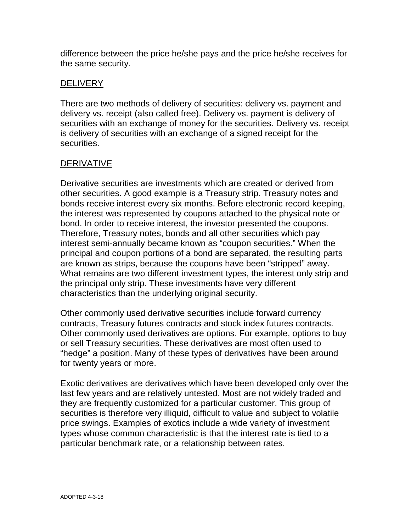difference between the price he/she pays and the price he/she receives for the same security.

## **DELIVERY**

There are two methods of delivery of securities: delivery vs. payment and delivery vs. receipt (also called free). Delivery vs. payment is delivery of securities with an exchange of money for the securities. Delivery vs. receipt is delivery of securities with an exchange of a signed receipt for the securities.

## **DERIVATIVE**

Derivative securities are investments which are created or derived from other securities. A good example is a Treasury strip. Treasury notes and bonds receive interest every six months. Before electronic record keeping, the interest was represented by coupons attached to the physical note or bond. In order to receive interest, the investor presented the coupons. Therefore, Treasury notes, bonds and all other securities which pay interest semi-annually became known as "coupon securities." When the principal and coupon portions of a bond are separated, the resulting parts are known as strips, because the coupons have been "stripped" away. What remains are two different investment types, the interest only strip and the principal only strip. These investments have very different characteristics than the underlying original security.

Other commonly used derivative securities include forward currency contracts, Treasury futures contracts and stock index futures contracts. Other commonly used derivatives are options. For example, options to buy or sell Treasury securities. These derivatives are most often used to "hedge" a position. Many of these types of derivatives have been around for twenty years or more.

Exotic derivatives are derivatives which have been developed only over the last few years and are relatively untested. Most are not widely traded and they are frequently customized for a particular customer. This group of securities is therefore very illiquid, difficult to value and subject to volatile price swings. Examples of exotics include a wide variety of investment types whose common characteristic is that the interest rate is tied to a particular benchmark rate, or a relationship between rates.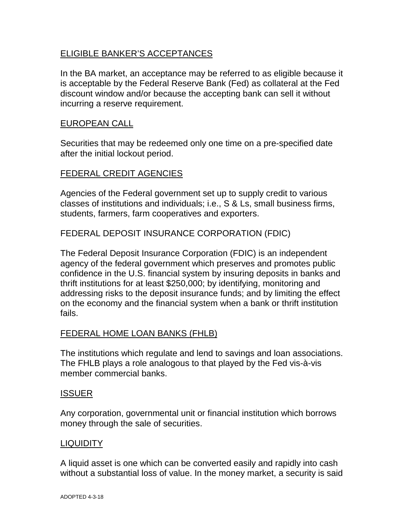## ELIGIBLE BANKER'S ACCEPTANCES

In the BA market, an acceptance may be referred to as eligible because it is acceptable by the Federal Reserve Bank (Fed) as collateral at the Fed discount window and/or because the accepting bank can sell it without incurring a reserve requirement.

### EUROPEAN CALL

Securities that may be redeemed only one time on a pre-specified date after the initial lockout period.

## FEDERAL CREDIT AGENCIES

Agencies of the Federal government set up to supply credit to various classes of institutions and individuals; i.e., S & Ls, small business firms, students, farmers, farm cooperatives and exporters.

## FEDERAL DEPOSIT INSURANCE CORPORATION (FDIC)

The Federal Deposit Insurance Corporation (FDIC) is an independent agency of the federal government which preserves and promotes public confidence in the U.S. financial system by insuring deposits in banks and thrift institutions for at least \$250,000; by identifying, monitoring and addressing risks to the deposit insurance funds; and by limiting the effect on the economy and the financial system when a bank or thrift institution fails.

#### FEDERAL HOME LOAN BANKS (FHLB)

The institutions which regulate and lend to savings and loan associations. The FHLB plays a role analogous to that played by the Fed vis-à-vis member commercial banks.

#### ISSUER

Any corporation, governmental unit or financial institution which borrows money through the sale of securities.

#### LIQUIDITY

A liquid asset is one which can be converted easily and rapidly into cash without a substantial loss of value. In the money market, a security is said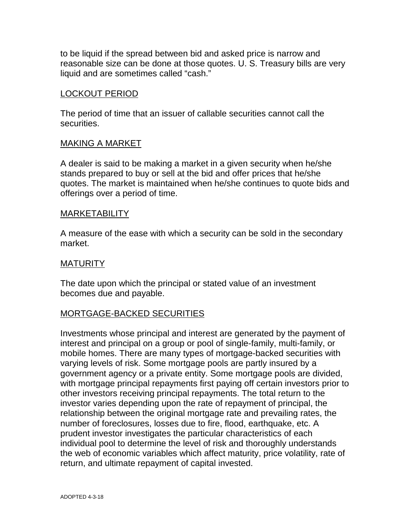to be liquid if the spread between bid and asked price is narrow and reasonable size can be done at those quotes. U. S. Treasury bills are very liquid and are sometimes called "cash."

## LOCKOUT PERIOD

The period of time that an issuer of callable securities cannot call the securities.

### MAKING A MARKET

A dealer is said to be making a market in a given security when he/she stands prepared to buy or sell at the bid and offer prices that he/she quotes. The market is maintained when he/she continues to quote bids and offerings over a period of time.

#### MARKETABILITY

A measure of the ease with which a security can be sold in the secondary market.

### **MATURITY**

The date upon which the principal or stated value of an investment becomes due and payable.

## MORTGAGE-BACKED SECURITIES

Investments whose principal and interest are generated by the payment of interest and principal on a group or pool of single-family, multi-family, or mobile homes. There are many types of mortgage-backed securities with varying levels of risk. Some mortgage pools are partly insured by a government agency or a private entity. Some mortgage pools are divided, with mortgage principal repayments first paying off certain investors prior to other investors receiving principal repayments. The total return to the investor varies depending upon the rate of repayment of principal, the relationship between the original mortgage rate and prevailing rates, the number of foreclosures, losses due to fire, flood, earthquake, etc. A prudent investor investigates the particular characteristics of each individual pool to determine the level of risk and thoroughly understands the web of economic variables which affect maturity, price volatility, rate of return, and ultimate repayment of capital invested.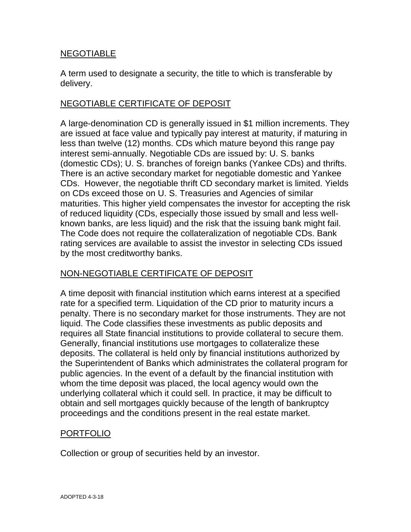## NEGOTIABLE

A term used to designate a security, the title to which is transferable by delivery.

## NEGOTIABLE CERTIFICATE OF DEPOSIT

A large-denomination CD is generally issued in \$1 million increments. They are issued at face value and typically pay interest at maturity, if maturing in less than twelve (12) months. CDs which mature beyond this range pay interest semi-annually. Negotiable CDs are issued by: U. S. banks (domestic CDs); U. S. branches of foreign banks (Yankee CDs) and thrifts. There is an active secondary market for negotiable domestic and Yankee CDs. However, the negotiable thrift CD secondary market is limited. Yields on CDs exceed those on U. S. Treasuries and Agencies of similar maturities. This higher yield compensates the investor for accepting the risk of reduced liquidity (CDs, especially those issued by small and less wellknown banks, are less liquid) and the risk that the issuing bank might fail. The Code does not require the collateralization of negotiable CDs. Bank rating services are available to assist the investor in selecting CDs issued by the most creditworthy banks.

## NON-NEGOTIABLE CERTIFICATE OF DEPOSIT

A time deposit with financial institution which earns interest at a specified rate for a specified term. Liquidation of the CD prior to maturity incurs a penalty. There is no secondary market for those instruments. They are not liquid. The Code classifies these investments as public deposits and requires all State financial institutions to provide collateral to secure them. Generally, financial institutions use mortgages to collateralize these deposits. The collateral is held only by financial institutions authorized by the Superintendent of Banks which administrates the collateral program for public agencies. In the event of a default by the financial institution with whom the time deposit was placed, the local agency would own the underlying collateral which it could sell. In practice, it may be difficult to obtain and sell mortgages quickly because of the length of bankruptcy proceedings and the conditions present in the real estate market.

## PORTFOLIO

Collection or group of securities held by an investor.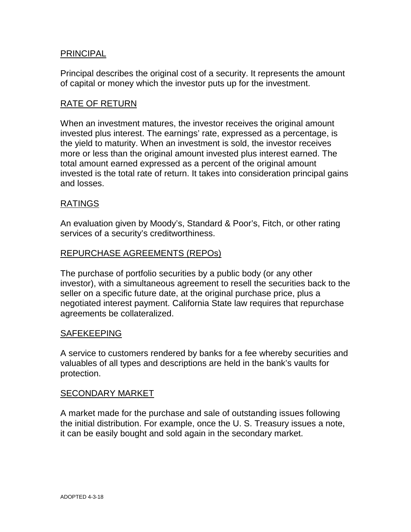## PRINCIPAL

Principal describes the original cost of a security. It represents the amount of capital or money which the investor puts up for the investment.

### RATE OF RETURN

When an investment matures, the investor receives the original amount invested plus interest. The earnings' rate, expressed as a percentage, is the yield to maturity. When an investment is sold, the investor receives more or less than the original amount invested plus interest earned. The total amount earned expressed as a percent of the original amount invested is the total rate of return. It takes into consideration principal gains and losses.

### RATINGS

An evaluation given by Moody's, Standard & Poor's, Fitch, or other rating services of a security's creditworthiness.

#### REPURCHASE AGREEMENTS (REPOs)

The purchase of portfolio securities by a public body (or any other investor), with a simultaneous agreement to resell the securities back to the seller on a specific future date, at the original purchase price, plus a negotiated interest payment. California State law requires that repurchase agreements be collateralized.

#### SAFEKEEPING

A service to customers rendered by banks for a fee whereby securities and valuables of all types and descriptions are held in the bank's vaults for protection.

#### SECONDARY MARKET

A market made for the purchase and sale of outstanding issues following the initial distribution. For example, once the U. S. Treasury issues a note, it can be easily bought and sold again in the secondary market.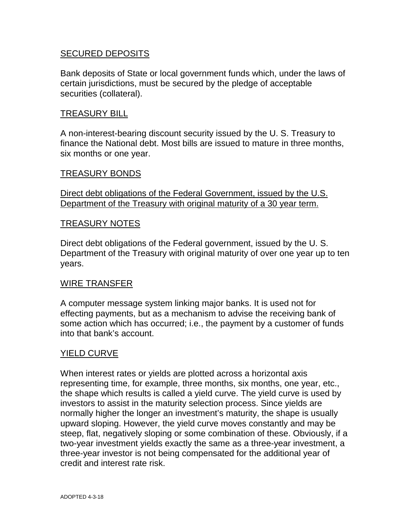## SECURED DEPOSITS

Bank deposits of State or local government funds which, under the laws of certain jurisdictions, must be secured by the pledge of acceptable securities (collateral).

## TREASURY BILL

A non-interest-bearing discount security issued by the U. S. Treasury to finance the National debt. Most bills are issued to mature in three months, six months or one year.

### TREASURY BONDS

Direct debt obligations of the Federal Government, issued by the U.S. Department of the Treasury with original maturity of a 30 year term.

### TREASURY NOTES

Direct debt obligations of the Federal government, issued by the U. S. Department of the Treasury with original maturity of over one year up to ten years.

#### WIRE TRANSFER

A computer message system linking major banks. It is used not for effecting payments, but as a mechanism to advise the receiving bank of some action which has occurred; i.e., the payment by a customer of funds into that bank's account.

#### YIELD CURVE

When interest rates or yields are plotted across a horizontal axis representing time, for example, three months, six months, one year, etc., the shape which results is called a yield curve. The yield curve is used by investors to assist in the maturity selection process. Since yields are normally higher the longer an investment's maturity, the shape is usually upward sloping. However, the yield curve moves constantly and may be steep, flat, negatively sloping or some combination of these. Obviously, if a two-year investment yields exactly the same as a three-year investment, a three-year investor is not being compensated for the additional year of credit and interest rate risk.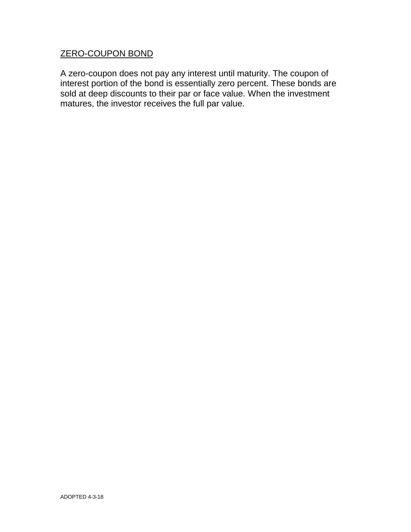## ZERO-COUPON BOND

A zero-coupon does not pay any interest until maturity. The coupon of interest portion of the bond is essentially zero percent. These bonds are sold at deep discounts to their par or face value. When the investment matures, the investor receives the full par value.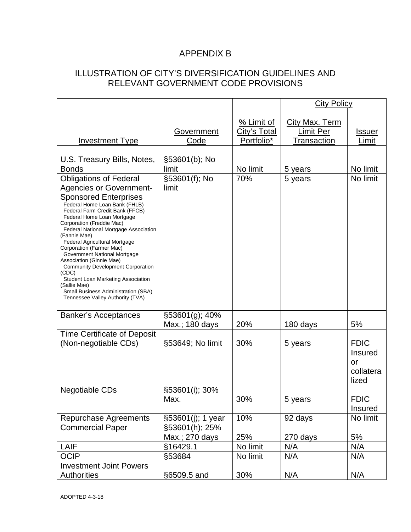# APPENDIX B

## ILLUSTRATION OF CITY'S DIVERSIFICATION GUIDELINES AND RELEVANT GOVERNMENT CODE PROVISIONS

|                                                                                                                                                                                                                                                                                                                                                                                                                                                                                                                                                                                                        |                                  |                                                 | <b>City Policy</b>                                       |                                                           |
|--------------------------------------------------------------------------------------------------------------------------------------------------------------------------------------------------------------------------------------------------------------------------------------------------------------------------------------------------------------------------------------------------------------------------------------------------------------------------------------------------------------------------------------------------------------------------------------------------------|----------------------------------|-------------------------------------------------|----------------------------------------------------------|-----------------------------------------------------------|
| <b>Investment Type</b>                                                                                                                                                                                                                                                                                                                                                                                                                                                                                                                                                                                 | Government<br>Code               | % Limit of<br><b>City's Total</b><br>Portfolio* | <b>City Max. Term</b><br><b>Limit Per</b><br>Transaction | <u>Issuer</u><br>Limit                                    |
| U.S. Treasury Bills, Notes,<br><b>Bonds</b>                                                                                                                                                                                                                                                                                                                                                                                                                                                                                                                                                            | §53601(b); No<br>limit           | No limit                                        | 5 years                                                  | No limit                                                  |
| <b>Obligations of Federal</b><br><b>Agencies or Government-</b><br><b>Sponsored Enterprises</b><br>Federal Home Loan Bank (FHLB)<br>Federal Farm Credit Bank (FFCB)<br>Federal Home Loan Mortgage<br>Corporation (Freddie Mac)<br>Federal National Mortgage Association<br>(Fannie Mae)<br>Federal Agricultural Mortgage<br>Corporation (Farmer Mac)<br>Government National Mortgage<br>Association (Ginnie Mae)<br><b>Community Development Corporation</b><br>(CDC)<br>Student Loan Marketing Association<br>(Sallie Mae)<br>Small Business Administration (SBA)<br>Tennessee Valley Authority (TVA) | §53601(f); No<br>limit           | 70%                                             | 5 years                                                  | No limit                                                  |
| <b>Banker's Acceptances</b>                                                                                                                                                                                                                                                                                                                                                                                                                                                                                                                                                                            | §53601(g); 40%<br>Max.; 180 days | 20%                                             | 180 days                                                 | 5%                                                        |
| <b>Time Certificate of Deposit</b><br>(Non-negotiable CDs)                                                                                                                                                                                                                                                                                                                                                                                                                                                                                                                                             | §53649; No limit                 | 30%                                             | 5 years                                                  | <b>FDIC</b><br><b>Insured</b><br>or<br>collatera<br>lized |
| <b>Negotiable CDs</b>                                                                                                                                                                                                                                                                                                                                                                                                                                                                                                                                                                                  | §53601(i); 30%<br>Max.           | 30%                                             | 5 years                                                  | <b>FDIC</b><br><b>Insured</b>                             |
| Repurchase Agreements                                                                                                                                                                                                                                                                                                                                                                                                                                                                                                                                                                                  | §53601(j); 1 year                | 10%                                             | 92 days                                                  | No limit                                                  |
| <b>Commercial Paper</b>                                                                                                                                                                                                                                                                                                                                                                                                                                                                                                                                                                                | §53601(h); 25%                   |                                                 |                                                          |                                                           |
|                                                                                                                                                                                                                                                                                                                                                                                                                                                                                                                                                                                                        | Max.; 270 days                   | 25%                                             | 270 days                                                 | 5%                                                        |
| LAIF                                                                                                                                                                                                                                                                                                                                                                                                                                                                                                                                                                                                   | §16429.1                         | No limit                                        | N/A                                                      | N/A                                                       |
| <b>OCIP</b>                                                                                                                                                                                                                                                                                                                                                                                                                                                                                                                                                                                            | §53684                           | No limit                                        | N/A                                                      | N/A                                                       |
| <b>Investment Joint Powers</b><br><b>Authorities</b>                                                                                                                                                                                                                                                                                                                                                                                                                                                                                                                                                   | §6509.5 and                      | 30%                                             | N/A                                                      | N/A                                                       |